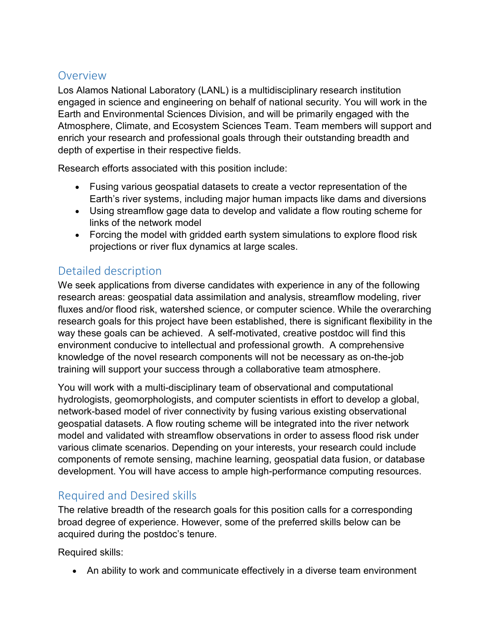## Overview

Los Alamos National Laboratory (LANL) is a multidisciplinary research institution engaged in science and engineering on behalf of national security. You will work in the Earth and Environmental Sciences Division, and will be primarily engaged with the Atmosphere, Climate, and Ecosystem Sciences Team. Team members will support and enrich your research and professional goals through their outstanding breadth and depth of expertise in their respective fields.

Research efforts associated with this position include:

- Fusing various geospatial datasets to create a vector representation of the Earth's river systems, including major human impacts like dams and diversions
- Using streamflow gage data to develop and validate a flow routing scheme for links of the network model
- Forcing the model with gridded earth system simulations to explore flood risk projections or river flux dynamics at large scales.

## Detailed description

We seek applications from diverse candidates with experience in any of the following research areas: geospatial data assimilation and analysis, streamflow modeling, river fluxes and/or flood risk, watershed science, or computer science. While the overarching research goals for this project have been established, there is significant flexibility in the way these goals can be achieved. A self-motivated, creative postdoc will find this environment conducive to intellectual and professional growth. A comprehensive knowledge of the novel research components will not be necessary as on-the-job training will support your success through a collaborative team atmosphere.

You will work with a multi-disciplinary team of observational and computational hydrologists, geomorphologists, and computer scientists in effort to develop a global, network-based model of river connectivity by fusing various existing observational geospatial datasets. A flow routing scheme will be integrated into the river network model and validated with streamflow observations in order to assess flood risk under various climate scenarios. Depending on your interests, your research could include components of remote sensing, machine learning, geospatial data fusion, or database development. You will have access to ample high-performance computing resources.

## Required and Desired skills

The relative breadth of the research goals for this position calls for a corresponding broad degree of experience. However, some of the preferred skills below can be acquired during the postdoc's tenure.

Required skills:

• An ability to work and communicate effectively in a diverse team environment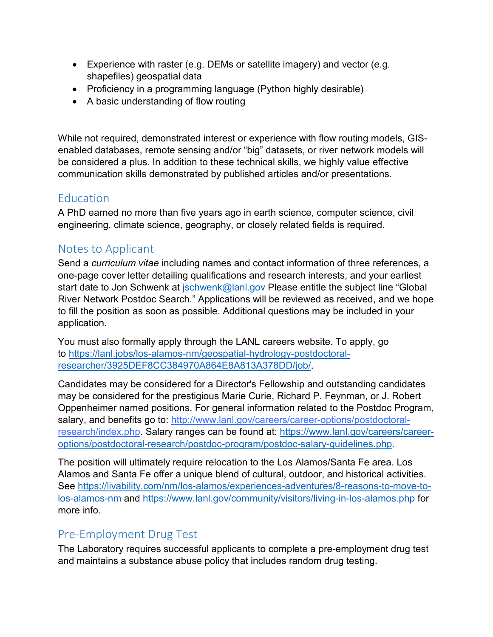- Experience with raster (e.g. DEMs or satellite imagery) and vector (e.g. shapefiles) geospatial data
- Proficiency in a programming language (Python highly desirable)
- A basic understanding of flow routing

While not required, demonstrated interest or experience with flow routing models, GISenabled databases, remote sensing and/or "big" datasets, or river network models will be considered a plus. In addition to these technical skills, we highly value effective communication skills demonstrated by published articles and/or presentations.

### Education

A PhD earned no more than five years ago in earth science, computer science, civil engineering, climate science, geography, or closely related fields is required.

### Notes to Applicant

Send a *curriculum vitae* including names and contact information of three references, a one-page cover letter detailing qualifications and research interests, and your earliest start date to Jon Schwenk at *schwenk@lanl.gov* Please entitle the subject line "Global River Network Postdoc Search." Applications will be reviewed as received, and we hope to fill the position as soon as possible. Additional questions may be included in your application.

You must also formally apply through the LANL careers website. To apply, go to [https://lanl.jobs/los-alamos-nm/geospatial-hydrology-postdoctoral](https://lanl.jobs/los-alamos-nm/geospatial-hydrology-postdoctoral-researcher/3925DEF8CC384970A864E8A813A378DD/job/)[researcher/3925DEF8CC384970A864E8A813A378DD/job/.](https://lanl.jobs/los-alamos-nm/geospatial-hydrology-postdoctoral-researcher/3925DEF8CC384970A864E8A813A378DD/job/)

Candidates may be considered for a Director's Fellowship and outstanding candidates may be considered for the prestigious Marie Curie, Richard P. Feynman, or J. Robert Oppenheimer named positions. For general information related to the Postdoc Program, salary, and benefits go to: [http://www.lanl.gov/careers/career-options/postdoctoral](http://www.lanl.gov/careers/career-options/postdoctoral-research/index.php)[research/index.php.](http://www.lanl.gov/careers/career-options/postdoctoral-research/index.php) Salary ranges can be found at: [https://www.lanl.gov/careers/career](https://www.lanl.gov/careers/career-options/postdoctoral-research/postdoc-program/postdoc-salary-guidelines.php)[options/postdoctoral-research/postdoc-program/postdoc-salary-guidelines.php.](https://www.lanl.gov/careers/career-options/postdoctoral-research/postdoc-program/postdoc-salary-guidelines.php)

The position will ultimately require relocation to the Los Alamos/Santa Fe area. Los Alamos and Santa Fe offer a unique blend of cultural, outdoor, and historical activities. See [https://livability.com/nm/los-alamos/experiences-adventures/8-reasons-to-move-to](https://livability.com/nm/los-alamos/experiences-adventures/8-reasons-to-move-to-los-alamos-nm)[los-alamos-nm](https://livability.com/nm/los-alamos/experiences-adventures/8-reasons-to-move-to-los-alamos-nm) and<https://www.lanl.gov/community/visitors/living-in-los-alamos.php> for more info.

#### Pre-Employment Drug Test

The Laboratory requires successful applicants to complete a pre-employment drug test and maintains a substance abuse policy that includes random drug testing.